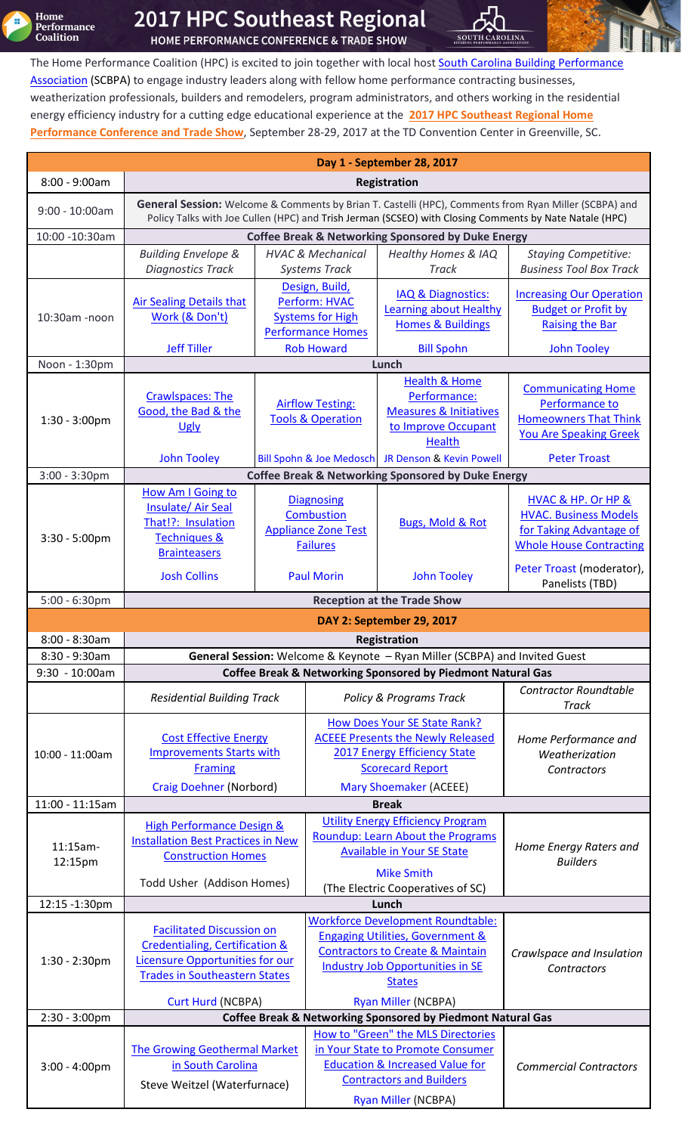**Home<br>Performance<br>Coalition** Ŧ

# 2017 HPC Southeast Regional

HOME PERFORMANCE CONFERENCE & TRADE SHOW

The Home Performance Coalition (HPC) is excited to join together with local host **South Carolina Building Performance** [Association](http://www.buildingsc.org/) (SCBPA) to engage industry leaders along with fellow home performance contracting businesses, weatherization professionals, builders and remodelers, program administrators, and others working in the residential energy efficiency industry for a cutting edge educational experience at the **[2017 HPC Southeast Regional Home](http://www.homeperformance.org/conferences/HPCSE17)  [Performance Conference and Trade Show](http://www.homeperformance.org/conferences/HPCSE17)**, September 28-29, 2017 at the TD Convention Center in Greenville, SC.

SOUTH CAROLINA

| Day 1 - September 28, 2017                             |                                                                                                                                                                                                                 |                                                                                                              |                                                                                         |                                                                                                                                                                                                    |                                                                                                                 |
|--------------------------------------------------------|-----------------------------------------------------------------------------------------------------------------------------------------------------------------------------------------------------------------|--------------------------------------------------------------------------------------------------------------|-----------------------------------------------------------------------------------------|----------------------------------------------------------------------------------------------------------------------------------------------------------------------------------------------------|-----------------------------------------------------------------------------------------------------------------|
| $8:00 - 9:00am$                                        | Registration                                                                                                                                                                                                    |                                                                                                              |                                                                                         |                                                                                                                                                                                                    |                                                                                                                 |
| $9:00 - 10:00am$                                       | General Session: Welcome & Comments by Brian T. Castelli (HPC), Comments from Ryan Miller (SCBPA) and<br>Policy Talks with Joe Cullen (HPC) and Trish Jerman (SCSEO) with Closing Comments by Nate Natale (HPC) |                                                                                                              |                                                                                         |                                                                                                                                                                                                    |                                                                                                                 |
| 10:00 -10:30am                                         | <b>Coffee Break &amp; Networking Sponsored by Duke Energy</b>                                                                                                                                                   |                                                                                                              |                                                                                         |                                                                                                                                                                                                    |                                                                                                                 |
|                                                        | <b>Building Envelope &amp;</b>                                                                                                                                                                                  | <b>HVAC &amp; Mechanical</b>                                                                                 |                                                                                         | <b>Healthy Homes &amp; IAQ</b>                                                                                                                                                                     | <b>Staying Competitive:</b>                                                                                     |
|                                                        | <b>Diagnostics Track</b>                                                                                                                                                                                        |                                                                                                              | <b>Systems Track</b>                                                                    | <b>Track</b>                                                                                                                                                                                       | <b>Business Tool Box Track</b>                                                                                  |
|                                                        | <b>Air Sealing Details that</b><br>Work (& Don't)                                                                                                                                                               |                                                                                                              | Design, Build,<br>Perform: HVAC                                                         | IAQ & Diagnostics:<br><b>Learning about Healthy</b>                                                                                                                                                | <b>Increasing Our Operation</b><br><b>Budget or Profit by</b>                                                   |
| 10:30am -noon                                          |                                                                                                                                                                                                                 |                                                                                                              | <b>Systems for High</b><br><b>Performance Homes</b>                                     | <b>Homes &amp; Buildings</b>                                                                                                                                                                       | <b>Raising the Bar</b>                                                                                          |
|                                                        | <b>Jeff Tiller</b>                                                                                                                                                                                              | <b>Rob Howard</b>                                                                                            |                                                                                         | <b>Bill Spohn</b>                                                                                                                                                                                  | <b>John Tooley</b>                                                                                              |
| Noon - 1:30pm                                          | Lunch                                                                                                                                                                                                           |                                                                                                              |                                                                                         |                                                                                                                                                                                                    |                                                                                                                 |
| $1:30 - 3:00 \text{pm}$                                | <b>Crawlspaces: The</b><br>Good, the Bad & the<br>Ugly                                                                                                                                                          | <b>Airflow Testing:</b><br><b>Tools &amp; Operation</b><br>Bill Spohn & Joe Medosch JR Denson & Kevin Powell |                                                                                         | <b>Health &amp; Home</b><br>Performance:<br><b>Measures &amp; Initiatives</b><br>to Improve Occupant<br><b>Health</b>                                                                              | <b>Communicating Home</b><br>Performance to<br><b>Homeowners That Think</b><br><b>You Are Speaking Greek</b>    |
|                                                        | <b>John Tooley</b>                                                                                                                                                                                              |                                                                                                              |                                                                                         |                                                                                                                                                                                                    | <b>Peter Troast</b>                                                                                             |
| $3:00 - 3:30$ pm                                       | <b>Coffee Break &amp; Networking Sponsored by Duke Energy</b>                                                                                                                                                   |                                                                                                              |                                                                                         |                                                                                                                                                                                                    |                                                                                                                 |
| $3:30 - 5:00 \text{pm}$                                | How Am I Going to<br>Insulate/Air Seal<br>That!?: Insulation<br><b>Techniques &amp;</b><br><b>Brainteasers</b>                                                                                                  |                                                                                                              | <b>Diagnosing</b><br><b>Combustion</b><br><b>Appliance Zone Test</b><br><b>Failures</b> | <b>Bugs, Mold &amp; Rot</b>                                                                                                                                                                        | HVAC & HP. Or HP &<br><b>HVAC. Business Models</b><br>for Taking Advantage of<br><b>Whole House Contracting</b> |
|                                                        | <b>Josh Collins</b>                                                                                                                                                                                             |                                                                                                              | <b>Paul Morin</b>                                                                       | <b>John Tooley</b>                                                                                                                                                                                 | Peter Troast (moderator),<br>Panelists (TBD)                                                                    |
| $5:00 - 6:30$ pm<br><b>Reception at the Trade Show</b> |                                                                                                                                                                                                                 |                                                                                                              |                                                                                         |                                                                                                                                                                                                    |                                                                                                                 |
| <b>DAY 2: September 29, 2017</b>                       |                                                                                                                                                                                                                 |                                                                                                              |                                                                                         |                                                                                                                                                                                                    |                                                                                                                 |
| $8:00 - 8:30am$<br>Registration                        |                                                                                                                                                                                                                 |                                                                                                              |                                                                                         |                                                                                                                                                                                                    |                                                                                                                 |
|                                                        | General Session: Welcome & Keynote - Ryan Miller (SCBPA) and Invited Guest                                                                                                                                      |                                                                                                              |                                                                                         |                                                                                                                                                                                                    |                                                                                                                 |
| 8:30 - 9:30am                                          |                                                                                                                                                                                                                 |                                                                                                              |                                                                                         |                                                                                                                                                                                                    |                                                                                                                 |
| $9:30 - 10:00am$                                       |                                                                                                                                                                                                                 |                                                                                                              |                                                                                         | <b>Coffee Break &amp; Networking Sponsored by Piedmont Natural Gas</b>                                                                                                                             |                                                                                                                 |
|                                                        | <b>Residential Building Track</b>                                                                                                                                                                               |                                                                                                              |                                                                                         | <b>Policy &amp; Programs Track</b>                                                                                                                                                                 | <b>Contractor Roundtable</b><br><b>Track</b>                                                                    |
| 10:00 - 11:00am                                        | <b>Cost Effective Energy</b><br><b>Improvements Starts with</b><br><b>Framing</b>                                                                                                                               |                                                                                                              |                                                                                         | How Does Your SE State Rank?<br><b>ACEEE Presents the Newly Released</b><br>2017 Energy Efficiency State<br><b>Scorecard Report</b>                                                                | Home Performance and<br>Weatherization<br>Contractors                                                           |
|                                                        | <b>Craig Doehner (Norbord)</b>                                                                                                                                                                                  |                                                                                                              |                                                                                         | <b>Mary Shoemaker (ACEEE)</b>                                                                                                                                                                      |                                                                                                                 |
| 11:00 - 11:15am<br>$11:15am-$<br>12:15pm               | <b>High Performance Design &amp;</b><br><b>Installation Best Practices in New</b><br><b>Construction Homes</b>                                                                                                  |                                                                                                              |                                                                                         | <b>Break</b><br><b>Utility Energy Efficiency Program</b><br>Roundup: Learn About the Programs<br><b>Available in Your SE State</b><br><b>Mike Smith</b>                                            | Home Energy Raters and<br><b>Builders</b>                                                                       |
|                                                        | Todd Usher (Addison Homes)                                                                                                                                                                                      |                                                                                                              |                                                                                         | (The Electric Cooperatives of SC)                                                                                                                                                                  |                                                                                                                 |
| 12:15 -1:30pm                                          |                                                                                                                                                                                                                 |                                                                                                              |                                                                                         | Lunch                                                                                                                                                                                              |                                                                                                                 |
| $1:30 - 2:30$ pm                                       | <b>Facilitated Discussion on</b><br>Credentialing, Certification &<br><b>Licensure Opportunities for our</b><br><b>Trades in Southeastern States</b>                                                            |                                                                                                              |                                                                                         | <b>Workforce Development Roundtable:</b><br><b>Engaging Utilities, Government &amp;</b><br><b>Contractors to Create &amp; Maintain</b><br><b>Industry Job Opportunities in SE</b><br><b>States</b> | Crawlspace and Insulation<br>Contractors                                                                        |
| $2:30 - 3:00 \text{pm}$                                | <b>Curt Hurd (NCBPA)</b>                                                                                                                                                                                        |                                                                                                              |                                                                                         | Ryan Miller (NCBPA)<br><b>Coffee Break &amp; Networking Sponsored by Piedmont Natural Gas</b>                                                                                                      |                                                                                                                 |
| $3:00 - 4:00 \text{pm}$                                | <b>The Growing Geothermal Market</b><br>in South Carolina<br>Steve Weitzel (Waterfurnace)                                                                                                                       |                                                                                                              |                                                                                         | How to "Green" the MLS Directories<br>in Your State to Promote Consumer<br><b>Education &amp; Increased Value for</b><br><b>Contractors and Builders</b>                                           | <b>Commercial Contractors</b>                                                                                   |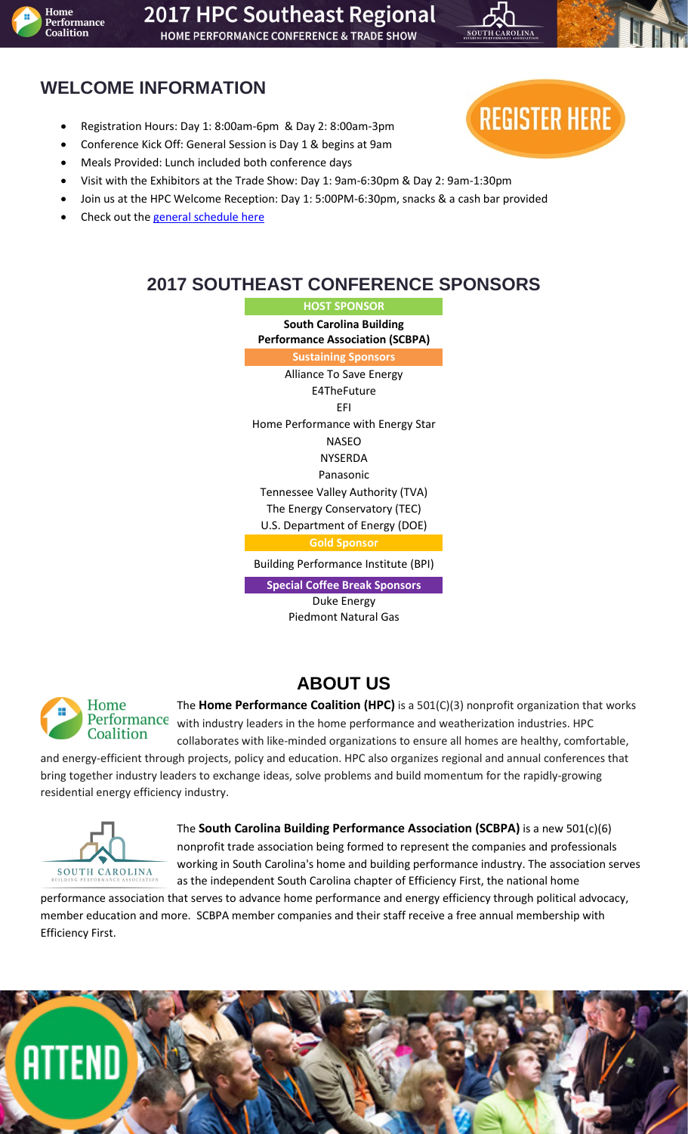

# 2017 HPC Southeast Regional

**HOME PERFORMANCE CONFERENCE & TRADE SHOW** 

# **WELCOME INFORMATION**

- Registration Hours: Day 1: 8:00am-6pm & Day 2: 8:00am-3pm
- Conference Kick Off: General Session is Day 1 & begins at 9am
- Meals Provided: Lunch included both conference days
- Visit with the Exhibitors at the Trade Show: Day 1: 9am-6:30pm & Day 2: 9am-1:30pm
- Join us at the HPC Welcome Reception: Day 1: 5:00PM-6:30pm, snacks & a cash bar provided
- Check out th[e general schedule here](http://www.homeperformance.org/conferences/HPCSE17#schedule)



# **2017 SOUTHEAST CONFERENCE SPONSORS**

**HOST SPONSOR South Carolina Building Performance Association (SCBPA) Sustaining Sponsors** Alliance To Save Energy

E4TheFuture EFI Home Performance with Energy Star NASEO NYSERDA Panasonic Tennessee Valley Authority (TVA) The Energy Conservatory (TEC) U.S. Department of Energy (DOE) **Gold Sponsor**

Building Performance Institute (BPI)

**Special Coffee Break Sponsors** Duke Energy

Piedmont Natural Gas

# Home Coalition

**ABOUT US**

The **Home Performance Coalition (HPC)** is a 501(C)(3) nonprofit organization that works Performance with industry leaders in the home performance and weatherization industries. HPC

collaborates with like-minded organizations to ensure all homes are healthy, comfortable, and energy-efficient through projects, policy and education. HPC also organizes regional and annual conferences that bring together industry leaders to exchange ideas, solve problems and build momentum for the rapidly-growing residential energy efficiency industry.



The **South Carolina Building Performance Association (SCBPA)** is a new 501(c)(6) nonprofit trade association being formed to represent the companies and professionals working in South Carolina's home and building performance industry. The association serves as the independent South Carolina chapter of [Efficiency](http://www.efficiencyfirst.org/) First, the national home

performance association that serves to advance home performance and energy efficiency through political advocacy, member education and more. SCBPA member companies and their staff receive a free annual membership with Efficiency First.

# **ATTEN**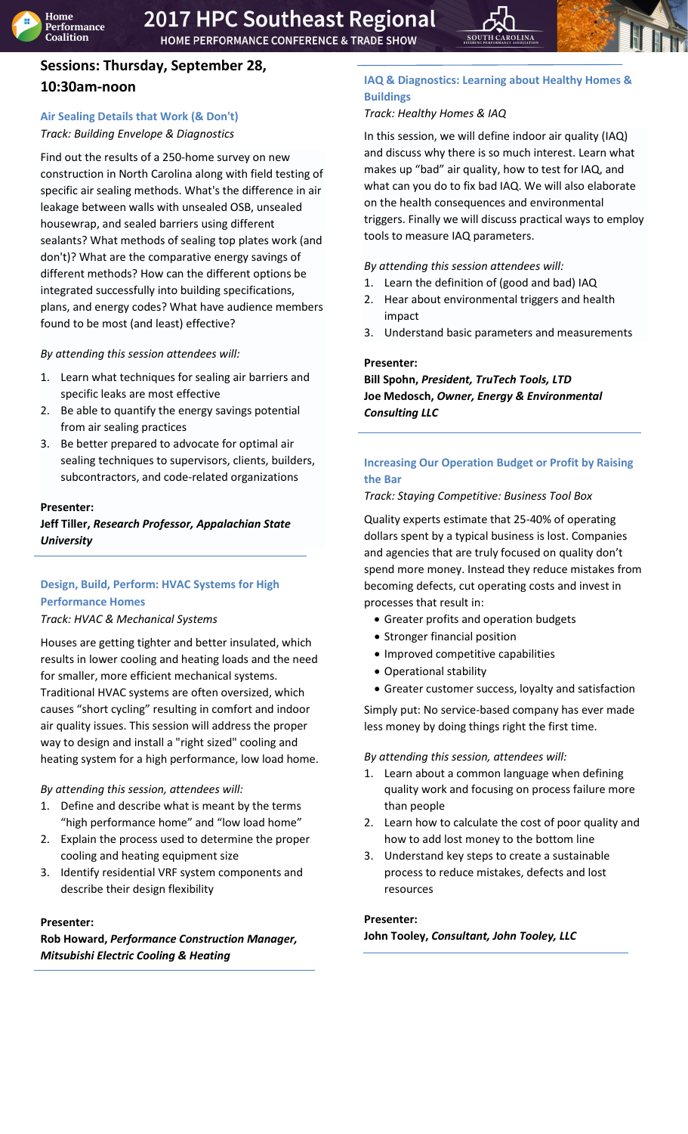## **Sessions: Thursday, September 28, 10:30am-noon**

## <span id="page-2-0"></span>**Air Sealing Details that Work (& Don't)** *Track: Building Envelope & Diagnostics*

Find out the results of a 250-home survey on new construction in North Carolina along with field testing of specific air sealing methods. What's the difference in air leakage between walls with unsealed OSB, unsealed housewrap, and sealed barriers using different sealants? What methods of sealing top plates work (and don't)? What are the comparative energy savings of different methods? How can the different options be integrated successfully into building specifications, plans, and energy codes? What have audience members found to be most (and least) effective?

*By attending this session attendees will:*

- 1. Learn what techniques for sealing air barriers and specific leaks are most effective
- 2. Be able to quantify the energy savings potential from air sealing practices
- 3. Be better prepared to advocate for optimal air sealing techniques to supervisors, clients, builders, subcontractors, and code-related organizations

## **Presenter:**

## **Jeff Tiller,** *Research Professor, Appalachian State University*

## <span id="page-2-1"></span>**Design, Build, Perform: HVAC Systems for High Performance Homes**

## *Track: HVAC & Mechanical Systems*

Houses are getting tighter and better insulated, which results in lower cooling and heating loads and the need for smaller, more efficient mechanical systems. Traditional HVAC systems are often oversized, which causes "short cycling" resulting in comfort and indoor air quality issues. This session will address the proper way to design and install a "right sized" cooling and heating system for a high performance, low load home.

## *By attending this session, attendees will:*

- 1. Define and describe what is meant by the terms "high performance home" and "low load home"
- 2. Explain the process used to determine the proper cooling and heating equipment size
- 3. Identify residential VRF system components and describe their design flexibility

## **Presenter:**

**Rob Howard,** *Performance Construction Manager, Mitsubishi Electric Cooling & Heating*

## <span id="page-2-2"></span>**IAQ & Diagnostics: Learning about Healthy Homes & Buildings**

## *Track: Healthy Homes & IAQ*

In this session, we will define indoor air quality (IAQ) and discuss why there is so much interest. Learn what makes up "bad" air quality, how to test for IAQ, and what can you do to fix bad IAQ. We will also elaborate on the health consequences and environmental triggers. Finally we will discuss practical ways to employ tools to measure IAQ parameters.

*By attending this session attendees will:*

- 1. Learn the definition of (good and bad) IAQ
- 2. Hear about environmental triggers and health impact
- 3. Understand basic parameters and measurements

## **Presenter:**

**Bill Spohn,** *President, TruTech Tools, LTD* **Joe Medosch,** *Owner, Energy & Environmental Consulting LLC*

## <span id="page-2-3"></span>**Increasing Our Operation Budget or Profit by Raising the Bar**

*Track: Staying Competitive: Business Tool Box*

Quality experts estimate that 25-40% of operating dollars spent by a typical business is lost. Companies and agencies that are truly focused on quality don't spend more money. Instead they reduce mistakes from becoming defects, cut operating costs and invest in processes that result in:

- Greater profits and operation budgets
- Stronger financial position
- Improved competitive capabilities
- Operational stability
- Greater customer success, loyalty and satisfaction

Simply put: No service-based company has ever made less money by doing things right the first time.

*By attending this session, attendees will:* 

- 1. Learn about a common language when defining quality work and focusing on process failure more than people
- 2. Learn how to calculate the cost of poor quality and how to add lost money to the bottom line
- 3. Understand key steps to create a sustainable process to reduce mistakes, defects and lost resources

**Presenter:**

**John Tooley,** *Consultant, John Tooley, LLC*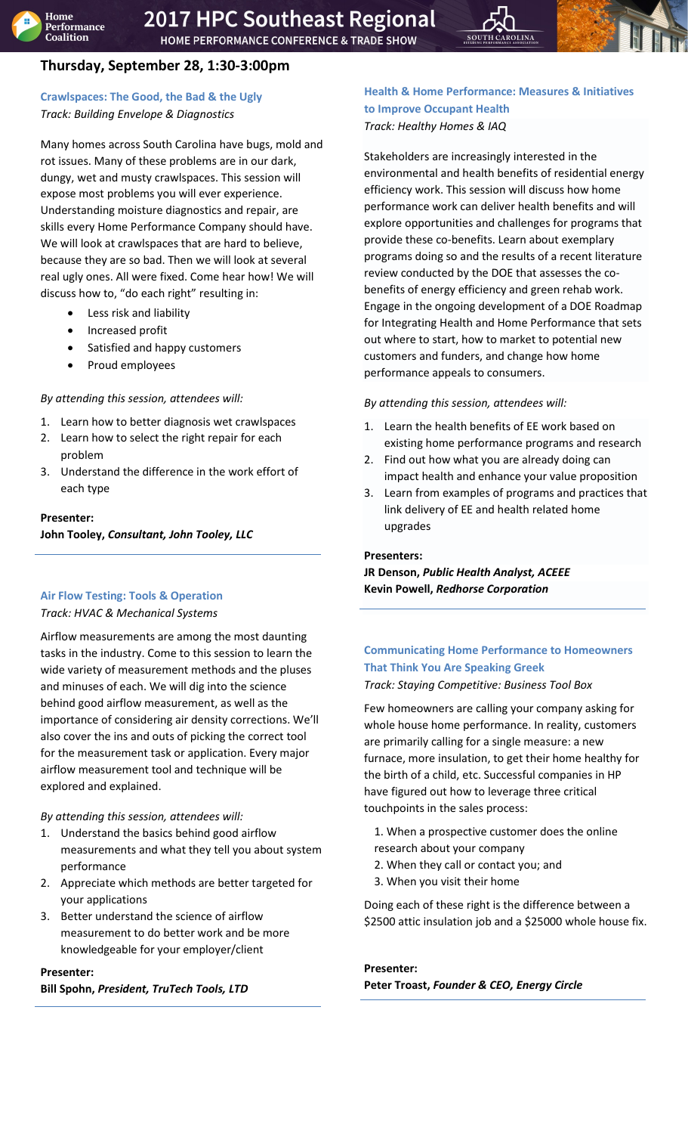# **Thursday, September 28, 1:30-3:00pm**

## <span id="page-3-0"></span>**Crawlspaces: The Good, the Bad & the Ugly** *Track: Building Envelope & Diagnostics*

Many homes across South Carolina have bugs, mold and rot issues. Many of these problems are in our dark, dungy, wet and musty crawlspaces. This session will expose most problems you will ever experience. Understanding moisture diagnostics and repair, are skills every Home Performance Company should have. We will look at crawlspaces that are hard to believe, because they are so bad. Then we will look at several real ugly ones. All were fixed. Come hear how! We will discuss how to, "do each right" resulting in:

- Less risk and liability
- Increased profit
- Satisfied and happy customers
- Proud employees

## *By attending this session, attendees will:*

- 1. Learn how to better diagnosis wet crawlspaces
- 2. Learn how to select the right repair for each problem
- 3. Understand the difference in the work effort of each type

## **Presenter:**

**John Tooley,** *Consultant, John Tooley, LLC*

## <span id="page-3-1"></span>**Air Flow Testing: Tools & Operation**

## *Track: HVAC & Mechanical Systems*

Airflow measurements are among the most daunting tasks in the industry. Come to this session to learn the wide variety of measurement methods and the pluses and minuses of each. We will dig into the science behind good airflow measurement, as well as the importance of considering air density corrections. We'll also cover the ins and outs of picking the correct tool for the measurement task or application. Every major airflow measurement tool and technique will be explored and explained.

## *By attending this session, attendees will:*

- 1. Understand the basics behind good airflow measurements and what they tell you about system performance
- 2. Appreciate which methods are better targeted for your applications
- 3. Better understand the science of airflow measurement to do better work and be more knowledgeable for your employer/client

## **Presenter:**

<span id="page-3-2"></span>**Bill Spohn,** *President, TruTech Tools, LTD*

## **Health & Home Performance: Measures & Initiatives to Improve Occupant Health** *Track: Healthy Homes & IAQ*

Stakeholders are increasingly interested in the environmental and health benefits of residential energy efficiency work. This session will discuss how home performance work can deliver health benefits and will explore opportunities and challenges for programs that provide these co-benefits. Learn about exemplary programs doing so and the results of a recent literature review conducted by the DOE that assesses the cobenefits of energy efficiency and green rehab work. Engage in the ongoing development of a DOE Roadmap for Integrating Health and Home Performance that sets out where to start, how to market to potential new customers and funders, and change how home performance appeals to consumers.

## *By attending this session, attendees will:*

- 1. Learn the health benefits of EE work based on existing home performance programs and research
- 2. Find out how what you are already doing can impact health and enhance your value proposition
- 3. Learn from examples of programs and practices that link delivery of EE and health related home upgrades

## **Presenters:**

**JR Denson,** *Public Health Analyst, ACEEE* **Kevin Powell,** *Redhorse Corporation*

# <span id="page-3-3"></span>**Communicating Home Performance to Homeowners That Think You Are Speaking Greek**

*Track: Staying Competitive: Business Tool Box*

Few homeowners are calling your company asking for whole house home performance. In reality, customers are primarily calling for a single measure: a new furnace, more insulation, to get their home healthy for the birth of a child, etc. Successful companies in HP have figured out how to leverage three critical touchpoints in the sales process:

- 1. When a prospective customer does the online research about your company
- 2. When they call or contact you; and
- 3. When you visit their home

Doing each of these right is the difference between a \$2500 attic insulation job and a \$25000 whole house fix.

## **Presenter:**

## **Peter Troast,** *Founder & CEO, Energy Circle*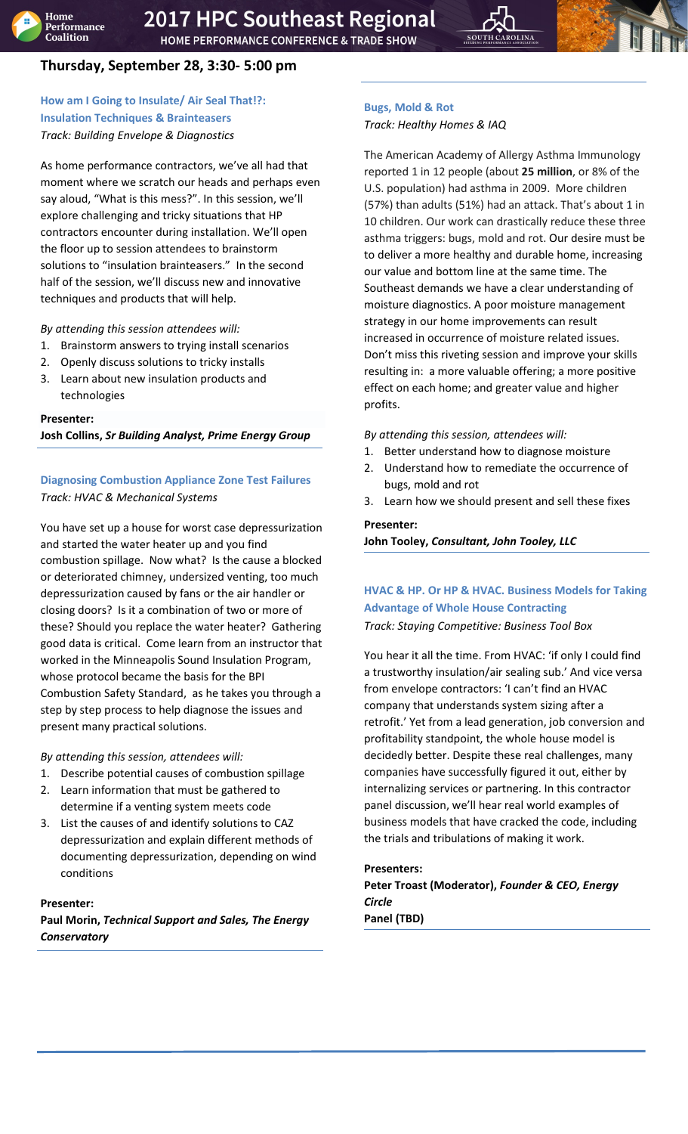

## <span id="page-4-0"></span>**How am I Going to Insulate/ Air Seal That!?: Insulation Techniques & Brainteasers** *Track: Building Envelope & Diagnostics*

As home performance contractors, we've all had that moment where we scratch our heads and perhaps even say aloud, "What is this mess?". In this session, we'll explore challenging and tricky situations that HP contractors encounter during installation. We'll open the floor up to session attendees to brainstorm solutions to "insulation brainteasers." In the second half of the session, we'll discuss new and innovative techniques and products that will help.

*By attending this session attendees will:*

- 1. Brainstorm answers to trying install scenarios
- 2. Openly discuss solutions to tricky installs
- 3. Learn about new insulation products and technologies

## **Presenter:**

**Josh Collins,** *Sr Building Analyst, Prime Energy Group*

## <span id="page-4-1"></span>**Diagnosing Combustion Appliance Zone Test Failures** *Track: HVAC & Mechanical Systems*

You have set up a house for worst case depressurization and started the water heater up and you find combustion spillage. Now what? Is the cause a blocked or deteriorated chimney, undersized venting, too much depressurization caused by fans or the air handler or closing doors? Is it a combination of two or more of these? Should you replace the water heater? Gathering good data is critical. Come learn from an instructor that worked in the Minneapolis Sound Insulation Program, whose protocol became the basis for the BPI Combustion Safety Standard, as he takes you through a step by step process to help diagnose the issues and present many practical solutions.

*By attending this session, attendees will:* 

- 1. Describe potential causes of combustion spillage
- 2. Learn information that must be gathered to determine if a venting system meets code
- 3. List the causes of and identify solutions to CAZ depressurization and explain different methods of documenting depressurization, depending on wind conditions

## **Presenter:**

**Paul Morin,** *Technical Support and Sales, The Energy Conservatory*

## <span id="page-4-2"></span>**Bugs, Mold & Rot** *Track: Healthy Homes & IAQ*

The American Academy of Allergy Asthma Immunology reported 1 in 12 people (about **25 million**, or 8% of the U.S. population) had asthma in 2009. More children (57%) than adults (51%) had an attack. That's about 1 in 10 children. Our work can drastically reduce these three asthma triggers: bugs, mold and rot. Our desire must be to deliver a more healthy and durable home, increasing our value and bottom line at the same time. The Southeast demands we have a clear understanding of moisture diagnostics. A poor moisture management strategy in our home improvements can result increased in occurrence of moisture related issues. Don't miss this riveting session and improve your skills resulting in: a more valuable offering; a more positive effect on each home; and greater value and higher profits.

*By attending this session, attendees will:* 

- 1. Better understand how to diagnose moisture
- 2. Understand how to remediate the occurrence of bugs, mold and rot
- 3. Learn how we should present and sell these fixes

## **Presenter:**

**John Tooley,** *Consultant, John Tooley, LLC*

## <span id="page-4-3"></span>**HVAC & HP. Or HP & HVAC. Business Models for Taking Advantage of Whole House Contracting** *Track: Staying Competitive: Business Tool Box*

You hear it all the time. From HVAC: 'if only I could find a trustworthy insulation/air sealing sub.' And vice versa from envelope contractors: 'I can't find an HVAC company that understands system sizing after a retrofit.' Yet from a lead generation, job conversion and profitability standpoint, the whole house model is decidedly better. Despite these real challenges, many companies have successfully figured it out, either by internalizing services or partnering. In this contractor panel discussion, we'll hear real world examples of business models that have cracked the code, including the trials and tribulations of making it work.

## **Presenters:**

**Peter Troast (Moderator),** *Founder & CEO, Energy Circle* **Panel (TBD)**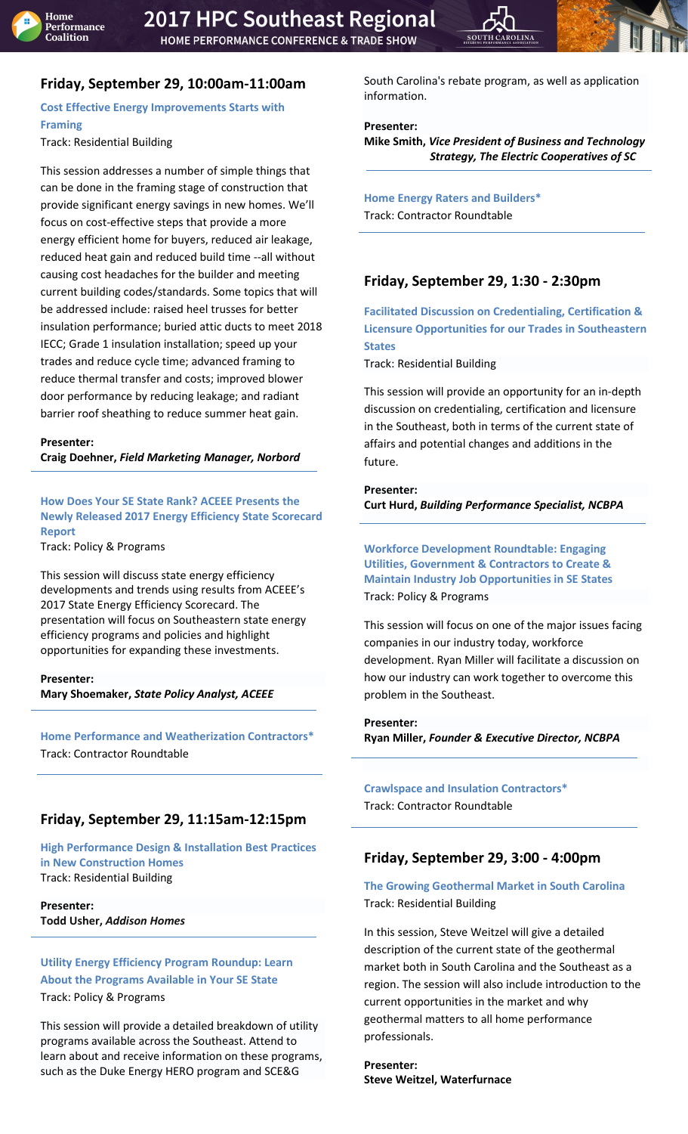

# **Friday, September 29, 10:00am-11:00am**

<span id="page-5-0"></span>**Cost Effective Energy Improvements Starts with Framing** 

Track: Residential Building

This session addresses a number of simple things that can be done in the framing stage of construction that provide significant energy savings in new homes. We'll focus on cost-effective steps that provide a more energy efficient home for buyers, reduced air leakage, reduced heat gain and reduced build time --all without causing cost headaches for the builder and meeting current building codes/standards. Some topics that will be addressed include: raised heel trusses for better insulation performance; buried attic ducts to meet 2018 IECC; Grade 1 insulation installation; speed up your trades and reduce cycle time; advanced framing to reduce thermal transfer and costs; improved blower door performance by reducing leakage; and radiant barrier roof sheathing to reduce summer heat gain.

## **Presenter:**

**Craig Doehner,** *Field Marketing Manager, Norbord*

<span id="page-5-1"></span>**How Does Your SE State Rank? ACEEE Presents the Newly Released 2017 Energy Efficiency State Scorecard Report** 

Track: Policy & Programs

This session will discuss state energy efficiency developments and trends using results from ACEEE's 2017 State Energy Efficiency Scorecard. The presentation will focus on Southeastern state energy efficiency programs and policies and highlight opportunities for expanding these investments.

## **Presenter:**

**Mary Shoemaker,** *State Policy Analyst, ACEEE*

**Home Performance and Weatherization Contractors\*** Track: Contractor Roundtable

## **Friday, September 29, 11:15am-12:15pm**

<span id="page-5-2"></span>**High Performance Design & Installation Best Practices in New Construction Homes**  Track: Residential Building

**Presenter: Todd Usher,** *Addison Homes*

<span id="page-5-3"></span>**Utility Energy Efficiency Program Roundup: Learn About the Programs Available in Your SE State** Track: Policy & Programs

This session will provide a detailed breakdown of utility programs available across the Southeast. Attend to learn about and receive information on these programs, such as the Duke Energy HERO program and SCE&G

South Carolina's rebate program, as well as application information.

## **Presenter:**

**Mike Smith,** *Vice President of Business and Technology Strategy, The Electric Cooperatives of SC* 

**Home Energy Raters and Builders\*** Track: Contractor Roundtable

## **Friday, September 29, 1:30 - 2:30pm**

<span id="page-5-4"></span>**Facilitated Discussion on Credentialing, Certification & Licensure Opportunities for our Trades in Southeastern States**

Track: Residential Building

This session will provide an opportunity for an in-depth discussion on credentialing, certification and licensure in the Southeast, both in terms of the current state of affairs and potential changes and additions in the future.

#### **Presenter:**

**Curt Hurd,** *Building Performance Specialist, NCBPA*

<span id="page-5-5"></span>**Workforce Development Roundtable: Engaging Utilities, Government & Contractors to Create & Maintain Industry Job Opportunities in SE States** Track: Policy & Programs

This session will focus on one of the major issues facing companies in our industry today, workforce development. Ryan Miller will facilitate a discussion on how our industry can work together to overcome this problem in the Southeast.

## **Presenter:**

**Ryan Miller,** *Founder & Executive Director, NCBPA*

**Crawlspace and Insulation Contractors\*** Track: Contractor Roundtable

## **Friday, September 29, 3:00 - 4:00pm**

## <span id="page-5-6"></span>**The Growing Geothermal Market in South Carolina**  Track: Residential Building

In this session, Steve Weitzel will give a detailed description of the current state of the geothermal market both in South Carolina and the Southeast as a region. The session will also include introduction to the current opportunities in the market and why geothermal matters to all home performance professionals.

<span id="page-5-7"></span>**Presenter: Steve Weitzel, Waterfurnace**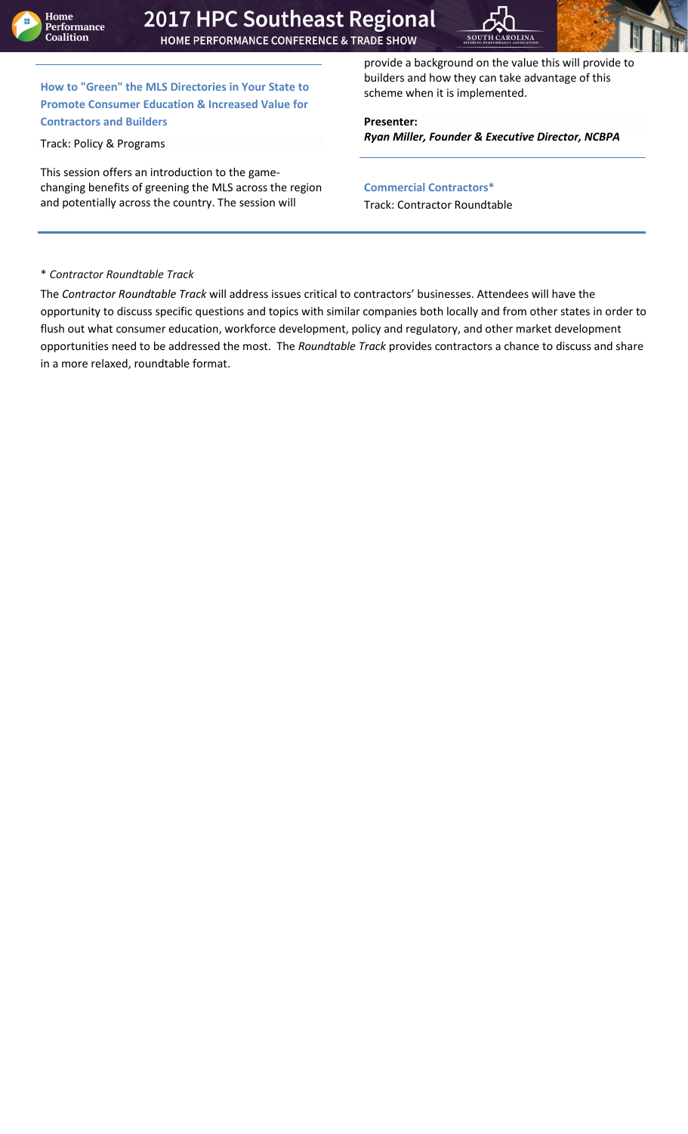



**How to "Green" the MLS Directories in Your State to Promote Consumer Education & Increased Value for Contractors and Builders**

Track: Policy & Programs

This session offers an introduction to the gamechanging benefits of greening the MLS across the region and potentially across the country. The session will

provide a background on the value this will provide to builders and how they can take advantage of this scheme when it is implemented.

**Presenter:** *Ryan Miller, Founder & Executive Director, NCBPA*

**Commercial Contractors\*** Track: Contractor Roundtable

## \* *Contractor Roundtable Track*

The *Contractor Roundtable Track* will address issues critical to contractors' businesses. Attendees will have the opportunity to discuss specific questions and topics with similar companies both locally and from other states in order to flush out what consumer education, workforce development, policy and regulatory, and other market development opportunities need to be addressed the most. The *Roundtable Track* provides contractors a chance to discuss and share in a more relaxed, roundtable format.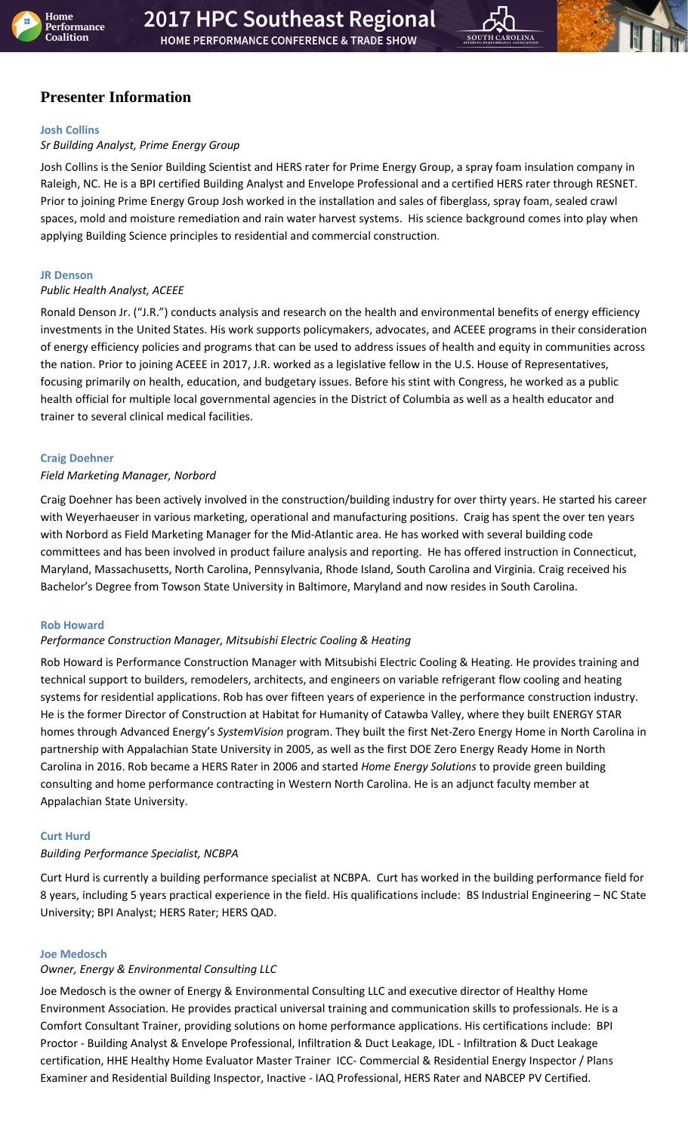

## **Presenter Information**

#### <span id="page-7-3"></span>**Josh Collins**

## *Sr Building Analyst, Prime Energy Group*

Josh Collins is the Senior Building Scientist and HERS rater for Prime Energy Group, a spray foam insulation company in Raleigh, NC. He is a BPI certified Building Analyst and Envelope Professional and a certified HERS rater through RESNET. Prior to joining Prime Energy Group Josh worked in the installation and sales of fiberglass, spray foam, sealed crawl spaces, mold and moisture remediation and rain water harvest systems. His science background comes into play when applying Building Science principles to residential and commercial construction.

#### <span id="page-7-2"></span>**JR Denson**

## *Public Health Analyst, ACEEE*

Ronald Denson Jr. ("J.R.") conducts analysis and research on the health and environmental benefits of energy efficiency investments in the United States. His work supports policymakers, advocates, and ACEEE programs in their consideration of energy efficiency policies and programs that can be used to address issues of health and equity in communities across the nation. Prior to joining ACEEE in 2017, J.R. worked as a legislative fellow in the U.S. House of Representatives, focusing primarily on health, education, and budgetary issues. Before his stint with Congress, he worked as a public health official for multiple local governmental agencies in the District of Columbia as well as a health educator and trainer to several clinical medical facilities.

## <span id="page-7-4"></span>**Craig Doehner**

## *Field Marketing Manager, Norbord*

Craig Doehner has been actively involved in the construction/building industry for over thirty years. He started his career with Weyerhaeuser in various marketing, operational and manufacturing positions. Craig has spent the over ten years with Norbord as Field Marketing Manager for the Mid-Atlantic area. He has worked with several building code committees and has been involved in product failure analysis and reporting. He has offered instruction in Connecticut, Maryland, Massachusetts, North Carolina, Pennsylvania, Rhode Island, South Carolina and Virginia. Craig received his Bachelor's Degree from Towson State University in Baltimore, Maryland and now resides in South Carolina.

## <span id="page-7-0"></span>**Rob Howard**

## *Performance Construction Manager, Mitsubishi Electric Cooling & Heating*

Rob Howard is Performance Construction Manager with Mitsubishi Electric Cooling & Heating. He provides training and technical support to builders, remodelers, architects, and engineers on variable refrigerant flow cooling and heating systems for residential applications. Rob has over fifteen years of experience in the performance construction industry. He is the former Director of Construction at Habitat for Humanity of Catawba Valley, where they built ENERGY STAR homes through Advanced Energy's *SystemVision* program. They built the first Net-Zero Energy Home in North Carolina in partnership with Appalachian State University in 2005, as well as the first DOE Zero Energy Ready Home in North Carolina in 2016. Rob became a HERS Rater in 2006 and started *Home Energy Solutions* to provide green building consulting and home performance contracting in Western North Carolina. He is an adjunct faculty member at Appalachian State University.

#### <span id="page-7-5"></span>**Curt Hurd**

#### *Building Performance Specialist, NCBPA*

Curt Hurd is currently a building performance specialist at NCBPA. Curt has worked in the building performance field for 8 years, including 5 years practical experience in the field. His qualifications include: BS Industrial Engineering – NC State University; BPI Analyst; HERS Rater; HERS QAD.

#### <span id="page-7-1"></span>**Joe Medosch**

## *Owner, Energy & Environmental Consulting LLC*

Joe Medosch is the owner of Energy & Environmental Consulting LLC and executive director of Healthy Home Environment Association. He provides practical universal training and communication skills to professionals. He is a Comfort Consultant Trainer, providing solutions on home performance applications. His certifications include: BPI Proctor - Building Analyst & Envelope Professional, Infiltration & Duct Leakage, IDL - Infiltration & Duct Leakage certification, HHE Healthy Home Evaluator Master Trainer ICC- Commercial & Residential Energy Inspector / Plans Examiner and Residential Building Inspector, Inactive - IAQ Professional, HERS Rater and NABCEP PV Certified.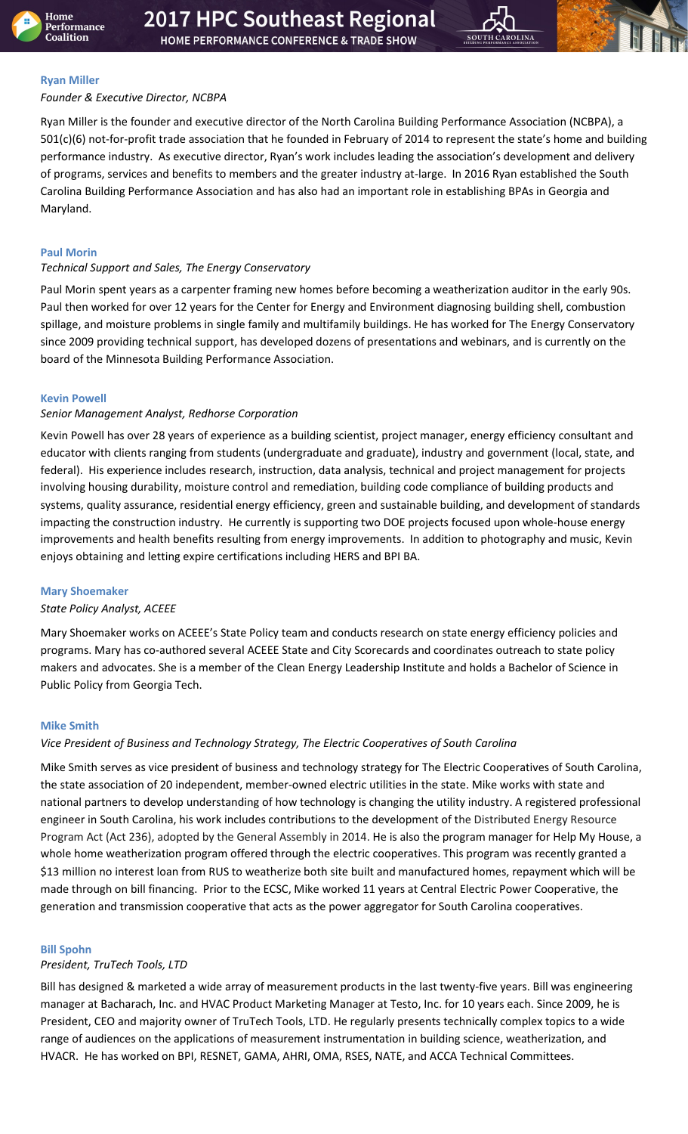



## <span id="page-8-5"></span>**Ryan Miller**

## *Founder & Executive Director, NCBPA*

Ryan Miller is the founder and executive director of the North Carolina Building Performance Association (NCBPA), a 501(c)(6) not-for-profit trade association that he founded in February of 2014 to represent the state's home and building performance industry. As executive director, Ryan's work includes leading the association's development and delivery of programs, services and benefits to members and the greater industry at-large. In 2016 Ryan established the South Carolina Building Performance Association and has also had an important role in establishing BPAs in Georgia and Maryland.

## <span id="page-8-2"></span>**Paul Morin**

## *Technical Support and Sales, The Energy Conservatory*

Paul Morin spent years as a carpenter framing new homes before becoming a weatherization auditor in the early 90s. Paul then worked for over 12 years for the Center for Energy and Environment diagnosing building shell, combustion spillage, and moisture problems in single family and multifamily buildings. He has worked for The Energy Conservatory since 2009 providing technical support, has developed dozens of presentations and webinars, and is currently on the board of the Minnesota Building Performance Association.

## <span id="page-8-1"></span>**Kevin Powell**

## *Senior Management Analyst, Redhorse Corporation*

Kevin Powell has over 28 years of experience as a building scientist, project manager, energy efficiency consultant and educator with clients ranging from students (undergraduate and graduate), industry and government (local, state, and federal). His experience includes research, instruction, data analysis, technical and project management for projects involving housing durability, moisture control and remediation, building code compliance of building products and systems, quality assurance, residential energy efficiency, green and sustainable building, and development of standards impacting the construction industry. He currently is supporting two DOE projects focused upon whole-house energy improvements and health benefits resulting from energy improvements. In addition to photography and music, Kevin enjoys obtaining and letting expire certifications including HERS and BPI BA.

## <span id="page-8-3"></span>**Mary Shoemaker**

## *State Policy Analyst, ACEEE*

Mary Shoemaker works on ACEEE's State Policy team and conducts research on state energy efficiency policies and programs. Mary has co-authored several ACEEE State and City Scorecards and coordinates outreach to state policy makers and advocates. She is a member of the Clean Energy Leadership Institute and holds a Bachelor of Science in Public Policy from Georgia Tech.

## <span id="page-8-4"></span>**Mike Smith**

## *Vice President of Business and Technology Strategy, The Electric Cooperatives of South Carolina*

Mike Smith serves as vice president of business and technology strategy for The Electric Cooperatives of South Carolina, the state association of 20 independent, member-owned electric utilities in the state. Mike works with state and national partners to develop understanding of how technology is changing the utility industry. A registered professional engineer in South Carolina, his work includes contributions to the development of the Distributed Energy Resource Program Act (Act 236), adopted by the General Assembly in 2014. He is also the program manager for Help My House, a whole home weatherization program offered through the electric cooperatives. This program was recently granted a \$13 million no interest loan from RUS to weatherize both site built and manufactured homes, repayment which will be made through on bill financing. Prior to the ECSC, Mike worked 11 years at Central Electric Power Cooperative, the generation and transmission cooperative that acts as the power aggregator for South Carolina cooperatives.

## <span id="page-8-0"></span>**Bill Spohn**

## *President, TruTech Tools, LTD*

Bill has designed & marketed a wide array of measurement products in the last twenty-five years. Bill was engineering manager at Bacharach, Inc. and HVAC Product Marketing Manager at Testo, Inc. for 10 years each. Since 2009, he is President, CEO and majority owner of TruTech Tools, LTD. He regularly presents technically complex topics to a wide range of audiences on the applications of measurement instrumentation in building science, weatherization, and HVACR. He has worked on BPI, RESNET, GAMA, AHRI, OMA, RSES, NATE, and ACCA Technical Committees.